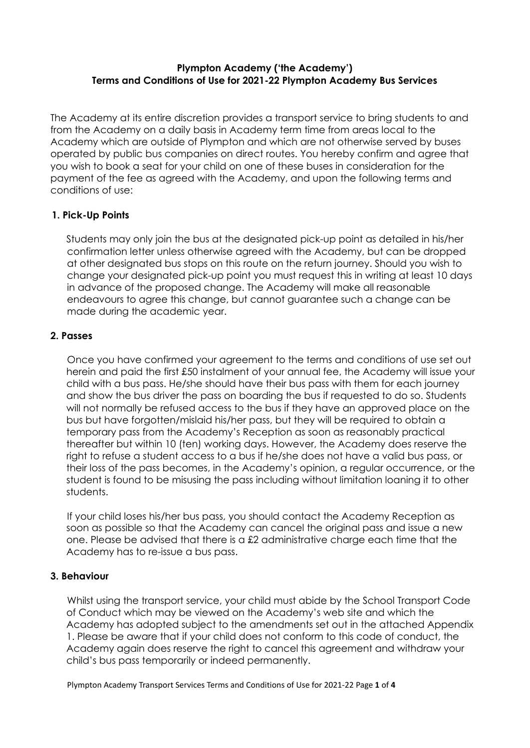### **Plympton Academy ('the Academy') Terms and Conditions of Use for 2021-22 Plympton Academy Bus Services**

The Academy at its entire discretion provides a transport service to bring students to and from the Academy on a daily basis in Academy term time from areas local to the Academy which are outside of Plympton and which are not otherwise served by buses operated by public bus companies on direct routes. You hereby confirm and agree that you wish to book a seat for your child on one of these buses in consideration for the payment of the fee as agreed with the Academy, and upon the following terms and conditions of use:

# **1. Pick-Up Points**

Students may only join the bus at the designated pick-up point as detailed in his/her confirmation letter unless otherwise agreed with the Academy, but can be dropped at other designated bus stops on this route on the return journey. Should you wish to change your designated pick-up point you must request this in writing at least 10 days in advance of the proposed change. The Academy will make all reasonable endeavours to agree this change, but cannot guarantee such a change can be made during the academic year.

# **2. Passes**

Once you have confirmed your agreement to the terms and conditions of use set out herein and paid the first £50 instalment of your annual fee, the Academy will issue your child with a bus pass. He/she should have their bus pass with them for each journey and show the bus driver the pass on boarding the bus if requested to do so. Students will not normally be refused access to the bus if they have an approved place on the bus but have forgotten/mislaid his/her pass, but they will be required to obtain a temporary pass from the Academy's Reception as soon as reasonably practical thereafter but within 10 (ten) working days. However, the Academy does reserve the right to refuse a student access to a bus if he/she does not have a valid bus pass, or their loss of the pass becomes, in the Academy's opinion, a regular occurrence, or the student is found to be misusing the pass including without limitation loaning it to other students.

If your child loses his/her bus pass, you should contact the Academy Reception as soon as possible so that the Academy can cancel the original pass and issue a new one. Please be advised that there is a £2 administrative charge each time that the Academy has to re-issue a bus pass.

# **3. Behaviour**

Whilst using the transport service, your child must abide by the School Transport Code of Conduct which may be viewed on the Academy's web site and which the Academy has adopted subject to the amendments set out in the attached Appendix 1. Please be aware that if your child does not conform to this code of conduct, the Academy again does reserve the right to cancel this agreement and withdraw your child's bus pass temporarily or indeed permanently.

Plympton Academy Transport Services Terms and Conditions of Use for 2021-22 Page **1** of **4**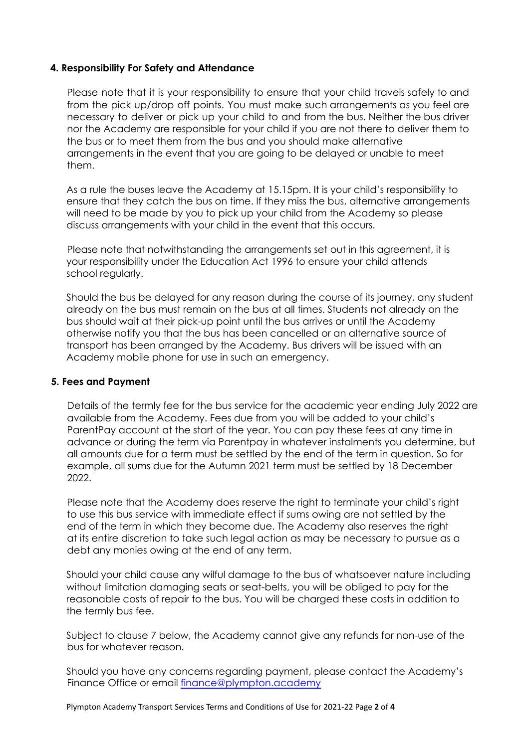### **4. Responsibility For Safety and Attendance**

Please note that it is your responsibility to ensure that your child travels safely to and from the pick up/drop off points. You must make such arrangements as you feel are necessary to deliver or pick up your child to and from the bus. Neither the bus driver nor the Academy are responsible for your child if you are not there to deliver them to the bus or to meet them from the bus and you should make alternative arrangements in the event that you are going to be delayed or unable to meet them.

As a rule the buses leave the Academy at 15.15pm. It is your child's responsibility to ensure that they catch the bus on time. If they miss the bus, alternative arrangements will need to be made by you to pick up your child from the Academy so please discuss arrangements with your child in the event that this occurs.

Please note that notwithstanding the arrangements set out in this agreement, it is your responsibility under the Education Act 1996 to ensure your child attends school regularly.

Should the bus be delayed for any reason during the course of its journey, any student already on the bus must remain on the bus at all times. Students not already on the bus should wait at their pick-up point until the bus arrives or until the Academy otherwise notify you that the bus has been cancelled or an alternative source of transport has been arranged by the Academy. Bus drivers will be issued with an Academy mobile phone for use in such an emergency.

#### **5. Fees and Payment**

Details of the termly fee for the bus service for the academic year ending July 2022 are available from the Academy. Fees due from you will be added to your child's ParentPay account at the start of the year. You can pay these fees at any time in advance or during the term via Parentpay in whatever instalments you determine, but all amounts due for a term must be settled by the end of the term in question. So for example, all sums due for the Autumn 2021 term must be settled by 18 December 2022.

Please note that the Academy does reserve the right to terminate your child's right to use this bus service with immediate effect if sums owing are not settled by the end of the term in which they become due. The Academy also reserves the right at its entire discretion to take such legal action as may be necessary to pursue as a debt any monies owing at the end of any term.

Should your child cause any wilful damage to the bus of whatsoever nature including without limitation damaging seats or seat-belts, you will be obliged to pay for the reasonable costs of repair to the bus. You will be charged these costs in addition to the termly bus fee.

Subject to clause 7 below, the Academy cannot give any refunds for non-use of the bus for whatever reason.

Should you have any concerns regarding payment, please contact the Academy's Finance Office or email finance@plympton.academy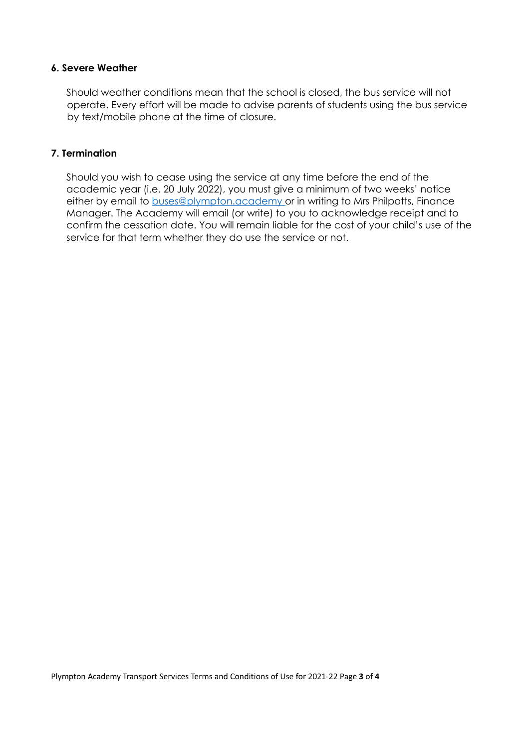# **6. Severe Weather**

Should weather conditions mean that the school is closed, the bus service will not operate. Every effort will be made to advise parents of students using the bus service by text/mobile phone at the time of closure.

#### **7. Termination**

Should you wish to cease using the service at any time before the end of the academic year (i.e. 20 July 2022), you must give a minimum of two weeks' notice either by email to buses@plympton.academy or in writing to Mrs Philpotts, Finance Manager. The Academy will email (or write) to you to acknowledge receipt and to confirm the cessation date. You will remain liable for the cost of your child's use of the service for that term whether they do use the service or not.